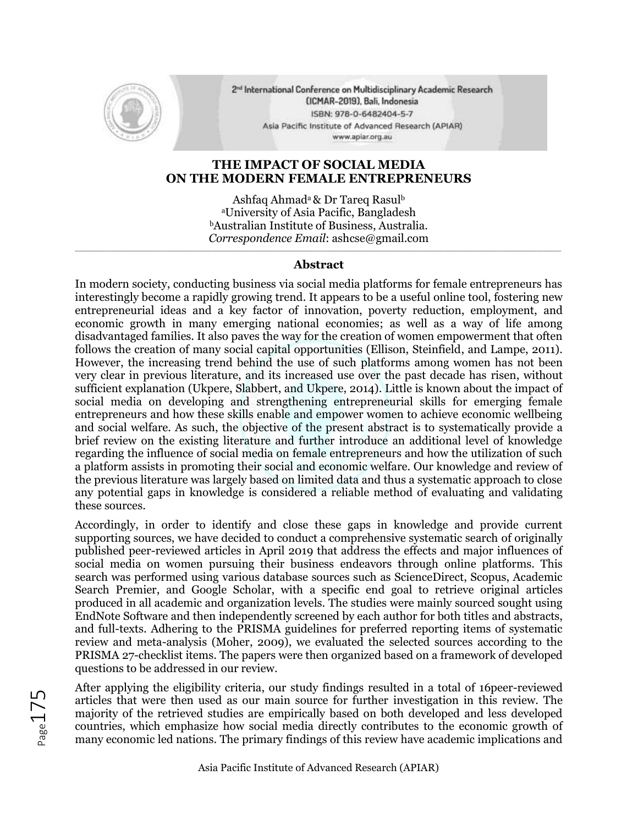

2<sup>nd</sup> International Conference on Multidisciplinary Academic Research (ICMAR-2019), Bali, Indonesia ISBN: 978-0-6482404-5-7 Asia Pacific Institute of Advanced Research (APIAR) www.apiar.org.au

## **THE IMPACT OF SOCIAL MEDIA ON THE MODERN FEMALE ENTREPRENEURS**

Ashfaq Ahmad<sup>a</sup> & Dr Tareq Rasul<sup>b</sup> <sup>a</sup>University of Asia Pacific, Bangladesh <sup>b</sup>Australian Institute of Business, Australia. *Correspondence Email*: ashcse@gmail.com

## \_\_\_\_\_\_\_\_\_\_\_\_\_\_\_\_\_\_\_\_\_\_\_\_\_\_\_\_\_\_\_\_\_\_\_\_\_\_\_\_\_\_\_\_\_\_\_\_\_\_\_\_\_\_\_\_\_\_\_\_\_\_\_\_\_\_\_\_\_\_\_\_\_\_\_\_\_\_\_\_\_\_\_\_\_\_\_\_\_\_\_\_\_\_\_\_\_\_\_\_\_\_\_\_\_\_\_\_\_\_\_\_\_\_\_\_\_\_\_\_\_ **Abstract**

In modern society, conducting business via social media platforms for female entrepreneurs has interestingly become a rapidly growing trend. It appears to be a useful online tool, fostering new entrepreneurial ideas and a key factor of innovation, poverty reduction, employment, and economic growth in many emerging national economies; as well as a way of life among disadvantaged families. It also paves the way for the creation of women empowerment that often follows the creation of many social capital opportunities (Ellison, Steinfield, and Lampe, 2011). However, the increasing trend behind the use of such platforms among women has not been very clear in previous literature, and its increased use over the past decade has risen, without sufficient explanation (Ukpere, Slabbert, and Ukpere, 2014). Little is known about the impact of social media on developing and strengthening entrepreneurial skills for emerging female entrepreneurs and how these skills enable and empower women to achieve economic wellbeing and social welfare. As such, the objective of the present abstract is to systematically provide a brief review on the existing literature and further introduce an additional level of knowledge regarding the influence of social media on female entrepreneurs and how the utilization of such a platform assists in promoting their social and economic welfare. Our knowledge and review of the previous literature was largely based on limited data and thus a systematic approach to close any potential gaps in knowledge is considered a reliable method of evaluating and validating these sources.

Accordingly, in order to identify and close these gaps in knowledge and provide current supporting sources, we have decided to conduct a comprehensive systematic search of originally published peer-reviewed articles in April 2019 that address the effects and major influences of social media on women pursuing their business endeavors through online platforms. This search was performed using various database sources such as ScienceDirect, Scopus, Academic Search Premier, and Google Scholar, with a specific end goal to retrieve original articles produced in all academic and organization levels. The studies were mainly sourced sought using EndNote Software and then independently screened by each author for both titles and abstracts, and full-texts. Adhering to the PRISMA guidelines for preferred reporting items of systematic review and meta-analysis (Moher, 2009), we evaluated the selected sources according to the PRISMA 27-checklist items. The papers were then organized based on a framework of developed questions to be addressed in our review.

After applying the eligibility criteria, our study findings resulted in a total of 16peer-reviewed articles that were then used as our main source for further investigation in this review. The majority of the retrieved studies are empirically based on both developed and less developed countries, which emphasize how social media directly contributes to the economic growth of many economic led nations. The primary findings of this review have academic implications and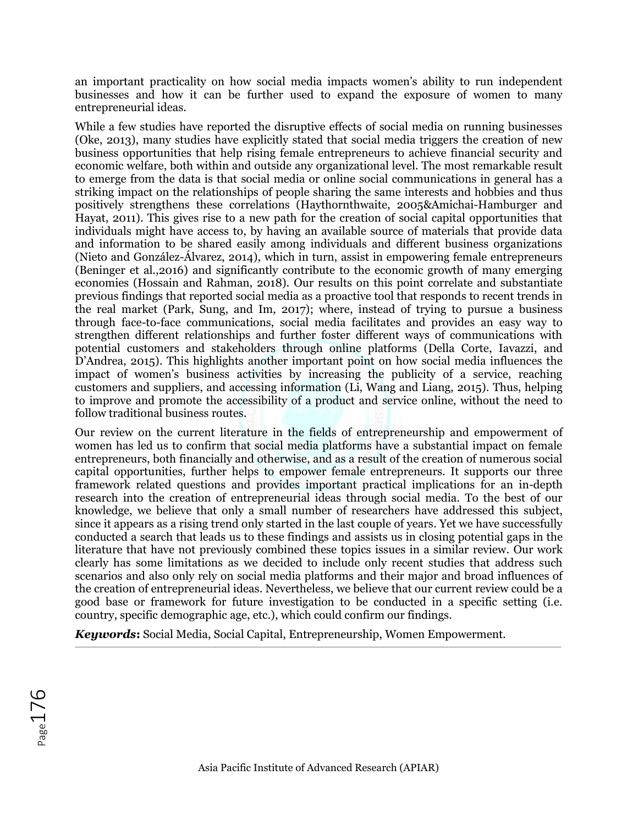an important practicality on how social media impacts women's ability to run independent businesses and how it can be further used to expand the exposure of women to many entrepreneurial ideas.

While a few studies have reported the disruptive effects of social media on running businesses (Oke, 2013), many studies have explicitly stated that social media triggers the creation of new business opportunities that help rising female entrepreneurs to achieve financial security and economic welfare, both within and outside any organizational level. The most remarkable result to emerge from the data is that social media or online social communications in general has a striking impact on the relationships of people sharing the same interests and hobbies and thus positively strengthens these correlations (Haythornthwaite, 2005&Amichai-Hamburger and Hayat, 2011). This gives rise to a new path for the creation of social capital opportunities that individuals might have access to, by having an available source of materials that provide data and information to be shared easily among individuals and different business organizations (Nieto and González-Álvarez, 2014), which in turn, assist in empowering female entrepreneurs (Beninger et al.,2016) and significantly contribute to the economic growth of many emerging economies (Hossain and Rahman, 2018). Our results on this point correlate and substantiate previous findings that reported social media as a proactive tool that responds to recent trends in the real market (Park, Sung, and Im, 2017); where, instead of trying to pursue a business through face-to-face communications, social media facilitates and provides an easy way to strengthen different relationships and further foster different ways of communications with potential customers and stakeholders through online platforms (Della Corte, Iavazzi, and D'Andrea, 2015). This highlights another important point on how social media influences the impact of women's business activities by increasing the publicity of a service, reaching customers and suppliers, and accessing information (Li, Wang and Liang, 2015). Thus, helping to improve and promote the accessibility of a product and service online, without the need to follow traditional business routes.

Our review on the current literature in the fields of entrepreneurship and empowerment of women has led us to confirm that social media platforms have a substantial impact on female entrepreneurs, both financially and otherwise, and as a result of the creation of numerous social capital opportunities, further helps to empower female entrepreneurs. It supports our three framework related questions and provides important practical implications for an in-depth research into the creation of entrepreneurial ideas through social media. To the best of our knowledge, we believe that only a small number of researchers have addressed this subject, since it appears as a rising trend only started in the last couple of years. Yet we have successfully conducted a search that leads us to these findings and assists us in closing potential gaps in the literature that have not previously combined these topics issues in a similar review. Our work clearly has some limitations as we decided to include only recent studies that address such scenarios and also only rely on social media platforms and their major and broad influences of the creation of entrepreneurial ideas. Nevertheless, we believe that our current review could be a good base or framework for future investigation to be conducted in a specific setting (i.e. country, specific demographic age, etc.), which could confirm our findings.

*Keywords***:** Social Media, Social Capital, Entrepreneurship, Women Empowerment.  $\_$  , and the set of the set of the set of the set of the set of the set of the set of the set of the set of the set of the set of the set of the set of the set of the set of the set of the set of the set of the set of th